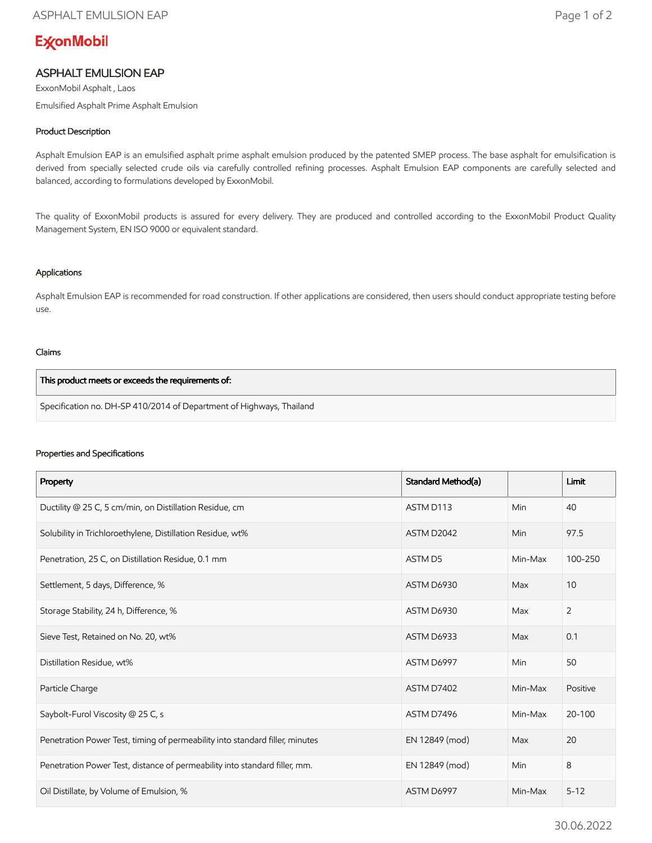# **ExconMobil**

## ASPHALT EMULSION EAP

ExxonMobil Asphalt , Laos Emulsified Asphalt Prime Asphalt Emulsion

### Product Description

Asphalt Emulsion EAP is an emulsified asphalt prime asphalt emulsion produced by the patented SMEP process. The base asphalt for emulsification is derived from specially selected crude oils via carefully controlled refining processes. Asphalt Emulsion EAP components are carefully selected and balanced, according to formulations developed by ExxonMobil.

The quality of ExxonMobil products is assured for every delivery. They are produced and controlled according to the ExxonMobil Product Quality Management System, EN ISO 9000 or equivalent standard.

#### Applications

Asphalt Emulsion EAP is recommended for road construction. If other applications are considered, then users should conduct appropriate testing before use.

#### Claims

| This product meets or exceeds the requirements of:                   |  |
|----------------------------------------------------------------------|--|
| Specification no. DH-SP 410/2014 of Department of Highways, Thailand |  |

#### Properties and Specifications

| Property                                                                     | Standard Method(a) |         | <b>Limit</b> |
|------------------------------------------------------------------------------|--------------------|---------|--------------|
| Ductility @ 25 C, 5 cm/min, on Distillation Residue, cm                      | ASTM D113          | Min     | 40           |
| Solubility in Trichloroethylene, Distillation Residue, wt%                   | ASTM D2042         | Min     | 97.5         |
| Penetration, 25 C, on Distillation Residue, 0.1 mm                           | ASTM D5            | Min-Max | 100-250      |
| Settlement, 5 days, Difference, %                                            | ASTM D6930         | Max     | 10           |
| Storage Stability, 24 h, Difference, %                                       | ASTM D6930         | Max     | 2            |
| Sieve Test, Retained on No. 20, wt%                                          | ASTM D6933         | Max     | 0.1          |
| Distillation Residue, wt%                                                    | ASTM D6997         | Min     | 50           |
| Particle Charge                                                              | ASTM D7402         | Min-Max | Positive     |
| Saybolt-Furol Viscosity @ 25 C, s                                            | ASTM D7496         | Min-Max | 20-100       |
| Penetration Power Test, timing of permeability into standard filler, minutes | EN 12849 (mod)     | Max     | 20           |
| Penetration Power Test, distance of permeability into standard filler, mm.   | EN 12849 (mod)     | Min     | 8            |
| Oil Distillate, by Volume of Emulsion, %                                     | ASTM D6997         | Min-Max | $5 - 12$     |